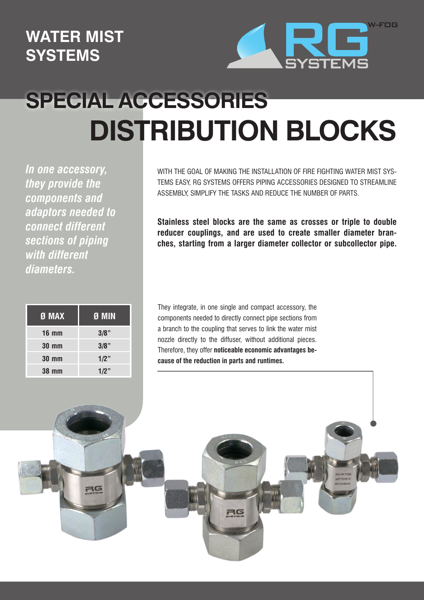## **WATER MIST SYSTEMS**



## **SPECIAL ACCESSORIES DISTRIBUTION BLOCKS**

*In one accessory, they provide the components and adaptors needed to connect different sections of piping with different diameters.*

| $\overline{9}$ MAX | Ø MIN   |
|--------------------|---------|
| <b>16 mm</b>       | $3/8$ " |
| <b>30 mm</b>       | $3/8$ " |
| <b>30 mm</b>       | $1/2$ " |
| <b>38 mm</b>       | 1/2"    |

WITH THE GOAL OF MAKING THE INSTALLATION OF FIRE FIGHTING WATER MIST SYS-TEMS EASY, RG SYSTEMS OFFERS PIPING ACCESSORIES DESIGNED TO STREAMLINE ASSEMBLY, SIMPLIFY THE TASKS AND REDUCE THE NUMBER OF PARTS.

**Stainless steel blocks are the same as crosses or triple to double reducer couplings, and are used to create smaller diameter branches, starting from a larger diameter collector or subcollector pipe.**

They integrate, in one single and compact accessory, the components needed to directly connect pipe sections from a branch to the coupling that serves to link the water mist nozzle directly to the diffuser, without additional pieces. Therefore, they offer **noticeable economic advantages because of the reduction in parts and runtimes.**